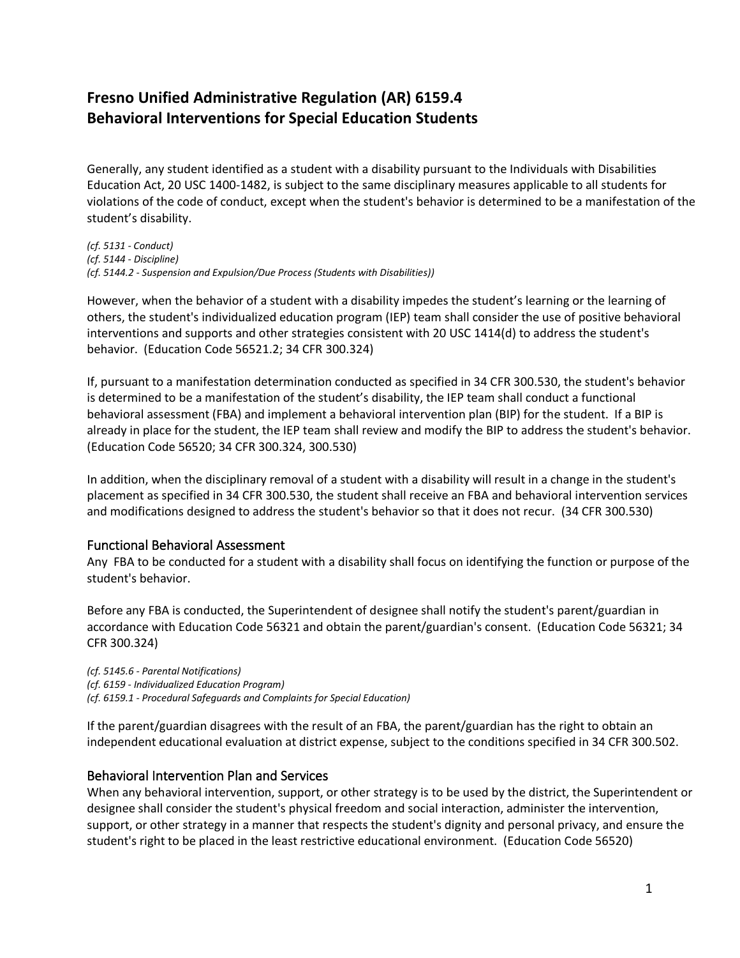# **Fresno Unified Administrative Regulation (AR) 6159.4 Behavioral Interventions for Special Education Students**

Generally, any student identified as a student with a disability pursuant to the Individuals with Disabilities Education Act, 20 USC 1400-1482, is subject to the same disciplinary measures applicable to all students for violations of the code of conduct, except when the student's behavior is determined to be a manifestation of the student's disability.

*(cf. 5131 - Conduct) (cf. 5144 - Discipline) (cf. 5144.2 - Suspension and Expulsion/Due Process (Students with Disabilities))*

However, when the behavior of a student with a disability impedes the student's learning or the learning of others, the student's individualized education program (IEP) team shall consider the use of positive behavioral interventions and supports and other strategies consistent with 20 USC 1414(d) to address the student's behavior. (Education Code 56521.2; 34 CFR 300.324)

If, pursuant to a manifestation determination conducted as specified in 34 CFR 300.530, the student's behavior is determined to be a manifestation of the student's disability, the IEP team shall conduct a functional behavioral assessment (FBA) and implement a behavioral intervention plan (BIP) for the student. If a BIP is already in place for the student, the IEP team shall review and modify the BIP to address the student's behavior. (Education Code 56520; 34 CFR 300.324, 300.530)

In addition, when the disciplinary removal of a student with a disability will result in a change in the student's placement as specified in 34 CFR 300.530, the student shall receive an FBA and behavioral intervention services and modifications designed to address the student's behavior so that it does not recur. (34 CFR 300.530)

## Functional Behavioral Assessment

Any FBA to be conducted for a student with a disability shall focus on identifying the function or purpose of the student's behavior.

Before any FBA is conducted, the Superintendent of designee shall notify the student's parent/guardian in accordance with Education Code 56321 and obtain the parent/guardian's consent. (Education Code 56321; 34 CFR 300.324)

*(cf. 5145.6 - Parental Notifications) (cf. 6159 - Individualized Education Program) (cf. 6159.1 - Procedural Safeguards and Complaints for Special Education)*

If the parent/guardian disagrees with the result of an FBA, the parent/guardian has the right to obtain an independent educational evaluation at district expense, subject to the conditions specified in 34 CFR 300.502.

## Behavioral Intervention Plan and Services

When any behavioral intervention, support, or other strategy is to be used by the district, the Superintendent or designee shall consider the student's physical freedom and social interaction, administer the intervention, support, or other strategy in a manner that respects the student's dignity and personal privacy, and ensure the student's right to be placed in the least restrictive educational environment. (Education Code 56520)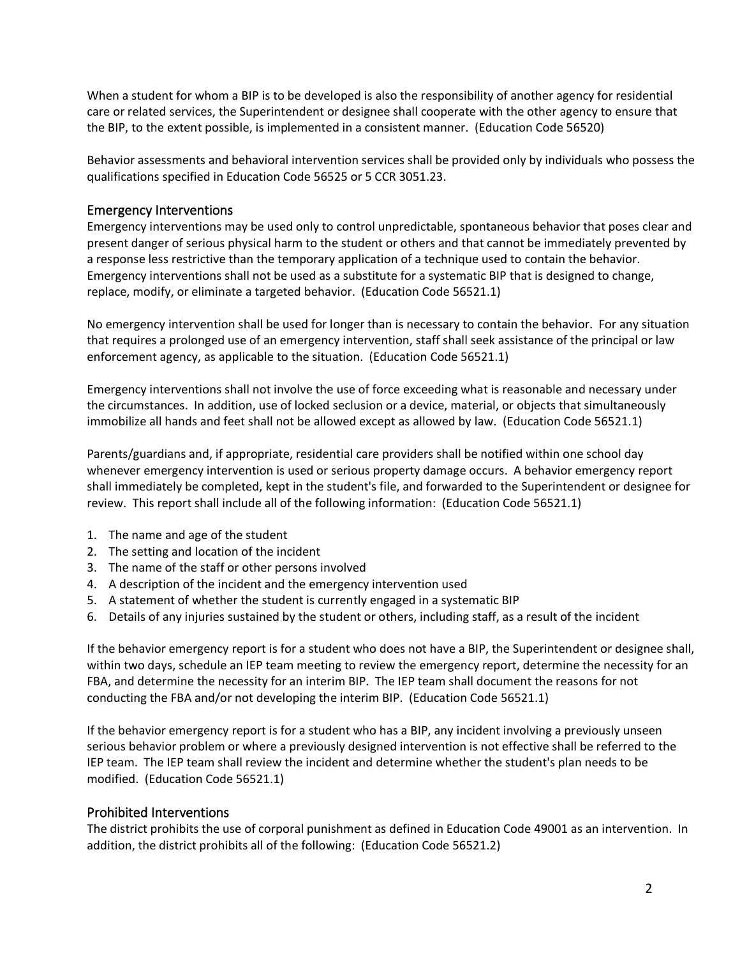When a student for whom a BIP is to be developed is also the responsibility of another agency for residential care or related services, the Superintendent or designee shall cooperate with the other agency to ensure that the BIP, to the extent possible, is implemented in a consistent manner. (Education Code 56520)

Behavior assessments and behavioral intervention services shall be provided only by individuals who possess the qualifications specified in Education Code 56525 or 5 CCR 3051.23.

### Emergency Interventions

Emergency interventions may be used only to control unpredictable, spontaneous behavior that poses clear and present danger of serious physical harm to the student or others and that cannot be immediately prevented by a response less restrictive than the temporary application of a technique used to contain the behavior. Emergency interventions shall not be used as a substitute for a systematic BIP that is designed to change, replace, modify, or eliminate a targeted behavior. (Education Code 56521.1)

No emergency intervention shall be used for longer than is necessary to contain the behavior. For any situation that requires a prolonged use of an emergency intervention, staff shall seek assistance of the principal or law enforcement agency, as applicable to the situation. (Education Code 56521.1)

Emergency interventions shall not involve the use of force exceeding what is reasonable and necessary under the circumstances. In addition, use of locked seclusion or a device, material, or objects that simultaneously immobilize all hands and feet shall not be allowed except as allowed by law. (Education Code 56521.1)

Parents/guardians and, if appropriate, residential care providers shall be notified within one school day whenever emergency intervention is used or serious property damage occurs. A behavior emergency report shall immediately be completed, kept in the student's file, and forwarded to the Superintendent or designee for review. This report shall include all of the following information: (Education Code 56521.1)

- 1. The name and age of the student
- 2. The setting and location of the incident
- 3. The name of the staff or other persons involved
- 4. A description of the incident and the emergency intervention used
- 5. A statement of whether the student is currently engaged in a systematic BIP
- 6. Details of any injuries sustained by the student or others, including staff, as a result of the incident

If the behavior emergency report is for a student who does not have a BIP, the Superintendent or designee shall, within two days, schedule an IEP team meeting to review the emergency report, determine the necessity for an FBA, and determine the necessity for an interim BIP. The IEP team shall document the reasons for not conducting the FBA and/or not developing the interim BIP. (Education Code 56521.1)

If the behavior emergency report is for a student who has a BIP, any incident involving a previously unseen serious behavior problem or where a previously designed intervention is not effective shall be referred to the IEP team. The IEP team shall review the incident and determine whether the student's plan needs to be modified. (Education Code 56521.1)

## Prohibited Interventions

The district prohibits the use of corporal punishment as defined in Education Code 49001 as an intervention. In addition, the district prohibits all of the following: (Education Code 56521.2)